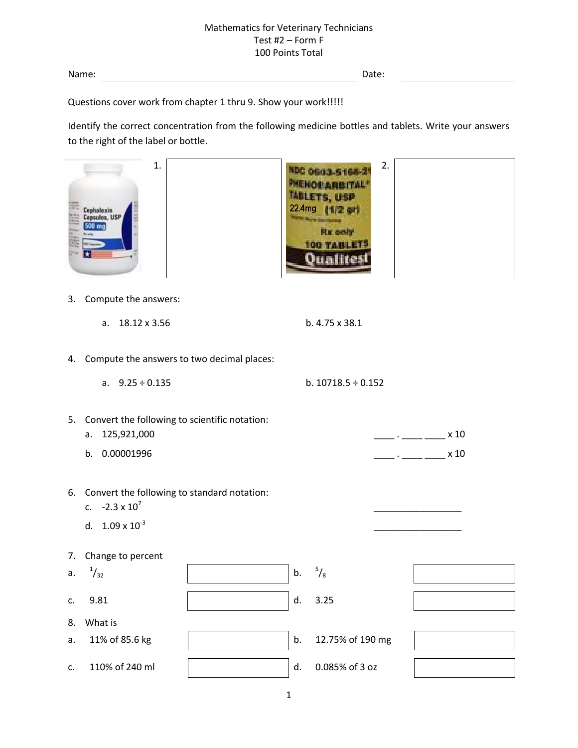Name: Date:

Questions cover work from chapter 1 thru 9. Show your work!!!!!

Identify the correct concentration from the following medicine bottles and tablets. Write your answers to the right of the label or bottle.

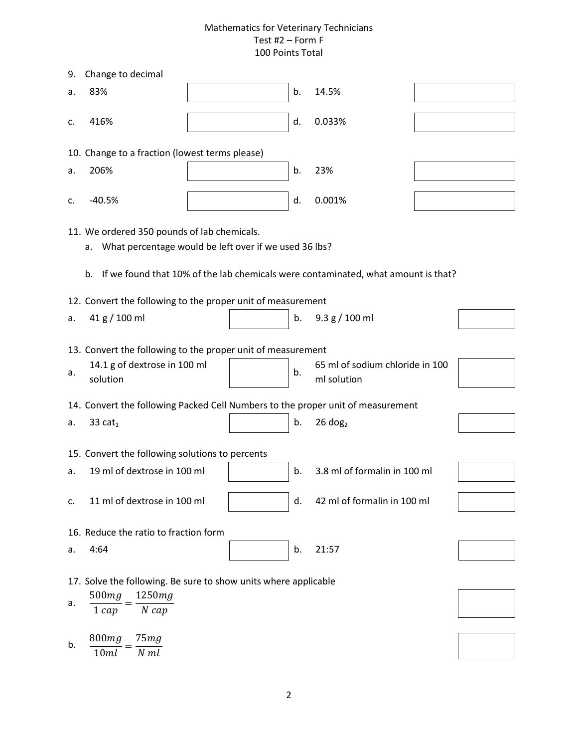| 9.                                                                                                                                                                                                    | Change to decimal                                                               |  |    |                                                |  |  |  |  |  |  |
|-------------------------------------------------------------------------------------------------------------------------------------------------------------------------------------------------------|---------------------------------------------------------------------------------|--|----|------------------------------------------------|--|--|--|--|--|--|
| a.                                                                                                                                                                                                    | 83%                                                                             |  | b. | 14.5%                                          |  |  |  |  |  |  |
| c.                                                                                                                                                                                                    | 416%                                                                            |  | d. | 0.033%                                         |  |  |  |  |  |  |
|                                                                                                                                                                                                       | 10. Change to a fraction (lowest terms please)                                  |  |    |                                                |  |  |  |  |  |  |
| a.                                                                                                                                                                                                    | 206%                                                                            |  | b. | 23%                                            |  |  |  |  |  |  |
| c.                                                                                                                                                                                                    | $-40.5%$                                                                        |  | d. | 0.001%                                         |  |  |  |  |  |  |
| 11. We ordered 350 pounds of lab chemicals.<br>What percentage would be left over if we used 36 lbs?<br>а.<br>If we found that 10% of the lab chemicals were contaminated, what amount is that?<br>b. |                                                                                 |  |    |                                                |  |  |  |  |  |  |
| 12. Convert the following to the proper unit of measurement                                                                                                                                           |                                                                                 |  |    |                                                |  |  |  |  |  |  |
| a.                                                                                                                                                                                                    | 41 g / 100 ml                                                                   |  | b. | 9.3 g / 100 ml                                 |  |  |  |  |  |  |
| 13. Convert the following to the proper unit of measurement                                                                                                                                           |                                                                                 |  |    |                                                |  |  |  |  |  |  |
| а.                                                                                                                                                                                                    | 14.1 g of dextrose in 100 ml<br>solution                                        |  | b. | 65 ml of sodium chloride in 100<br>ml solution |  |  |  |  |  |  |
|                                                                                                                                                                                                       | 14. Convert the following Packed Cell Numbers to the proper unit of measurement |  |    |                                                |  |  |  |  |  |  |
| а.                                                                                                                                                                                                    | 33 $cat1$                                                                       |  | b. | $26$ dog <sub>2</sub>                          |  |  |  |  |  |  |
| 15. Convert the following solutions to percents                                                                                                                                                       |                                                                                 |  |    |                                                |  |  |  |  |  |  |
| a.                                                                                                                                                                                                    | 19 ml of dextrose in 100 ml                                                     |  | b. | 3.8 ml of formalin in 100 ml                   |  |  |  |  |  |  |
| c.                                                                                                                                                                                                    | 11 ml of dextrose in 100 ml                                                     |  | d. | 42 ml of formalin in 100 ml                    |  |  |  |  |  |  |
| 16. Reduce the ratio to fraction form                                                                                                                                                                 |                                                                                 |  |    |                                                |  |  |  |  |  |  |
| а.                                                                                                                                                                                                    | 4:64                                                                            |  | b. | 21:57                                          |  |  |  |  |  |  |
| 17. Solve the following. Be sure to show units where applicable                                                                                                                                       |                                                                                 |  |    |                                                |  |  |  |  |  |  |
| a.                                                                                                                                                                                                    | 500mg<br>1250mg<br>$N$ cap<br>$1 \, cap$                                        |  |    |                                                |  |  |  |  |  |  |
| b.                                                                                                                                                                                                    | 800mg<br>75mg<br>$N$ $ml$<br>10ml                                               |  |    |                                                |  |  |  |  |  |  |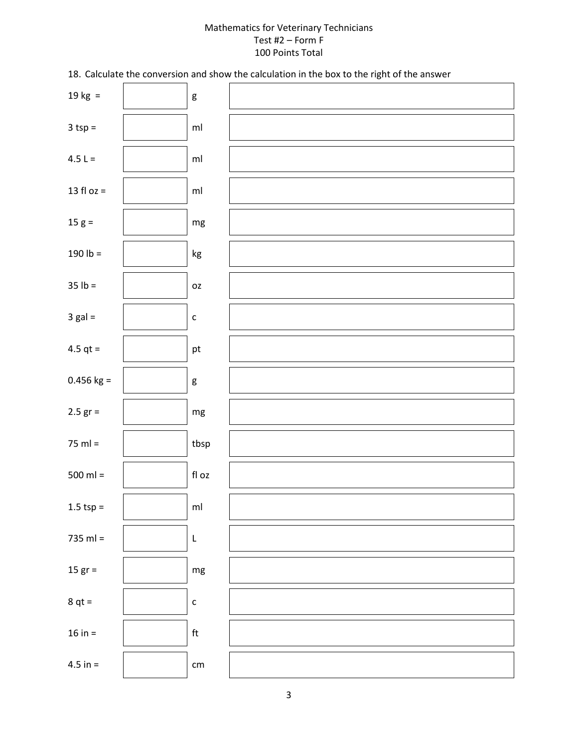18. Calculate the conversion and show the calculation in the box to the right of the answer

| 19 kg $=$    | $\mathsf g$                |  |
|--------------|----------------------------|--|
| $3$ tsp =    | $\mathsf{m}\mathsf{l}$     |  |
| 4.5 L =      | $\mathsf{m}\mathsf{l}$     |  |
| 13 fl oz $=$ | $\mathsf{m}\mathsf{l}$     |  |
| $15 g =$     | $\mathsf{mg}$              |  |
| 190 $lb =$   | kg                         |  |
| $35 lb =$    | OZ                         |  |
| $3$ gal =    | $\mathsf{C}$               |  |
| 4.5 $qt =$   | pt                         |  |
| $0.456$ kg = | g                          |  |
| $2.5$ gr =   | $\mathsf{mg}$              |  |
| $75$ ml =    | tbsp                       |  |
| $500$ ml =   | $\operatorname{\sf fl}$ oz |  |
| $1.5$ tsp =  | ml                         |  |
| $735$ ml =   | L                          |  |
| $15 gr =$    | $\mathsf{mg}$              |  |
| $8 qt =$     | $\mathsf{C}$               |  |
| $16 in =$    | $\ensuremath{\mathsf{ft}}$ |  |
| $4.5 in =$   | $\mathsf{cm}$              |  |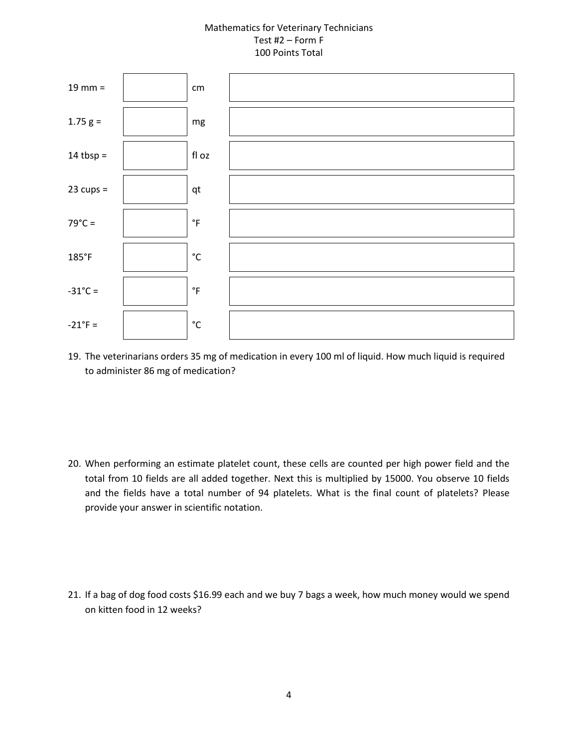

19. The veterinarians orders 35 mg of medication in every 100 ml of liquid. How much liquid is required to administer 86 mg of medication?

20. When performing an estimate platelet count, these cells are counted per high power field and the total from 10 fields are all added together. Next this is multiplied by 15000. You observe 10 fields and the fields have a total number of 94 platelets. What is the final count of platelets? Please provide your answer in scientific notation.

21. If a bag of dog food costs \$16.99 each and we buy 7 bags a week, how much money would we spend on kitten food in 12 weeks?